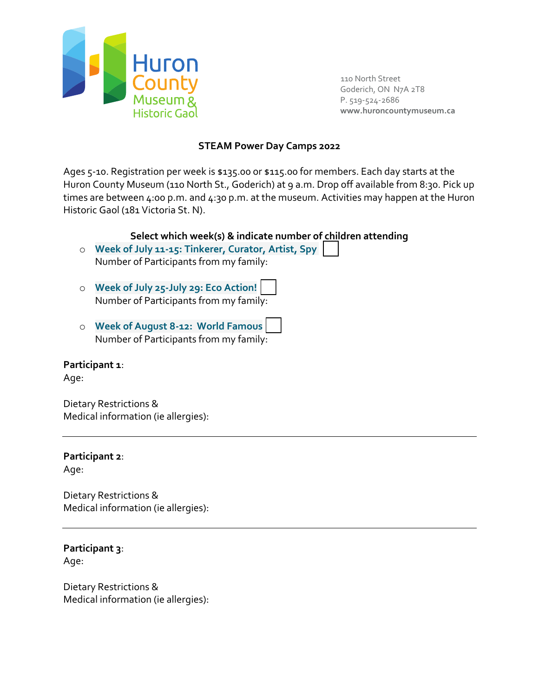

110 North Street Goderich, ON N7A 2T8 P. 519-524-2686 **www.huroncountymuseum.ca**

### **STEAM Power Day Camps 2022**

Ages 5-10. Registration per week is \$135.00 or \$115.00 for members. Each day starts at the Huron County Museum (110 North St., Goderich) at 9 a.m. Drop off available from 8:30. Pick up times are between 4:00 p.m. and 4:30 p.m. at the museum. Activities may happen at the Huron Historic Gaol (181 Victoria St. N).

### **Select which week(s) & indicate number of children attending**

- o **Week of July 11-15: Tinkerer, Curator, Artist, Spy** Number of Participants from my family:
- o **Week of July 25-July 29: Eco Action!** Number of Participants from my family:
- o **Week of August 8-12: World Famous** Number of Participants from my family:

#### **Participant 1**:

Age:

Dietary Restrictions & Medical information (ie allergies):

# **Participant 2**:

Age:

Dietary Restrictions & Medical information (ie allergies):

# **Participant 3**:

Age:

Dietary Restrictions & Medical information (ie allergies):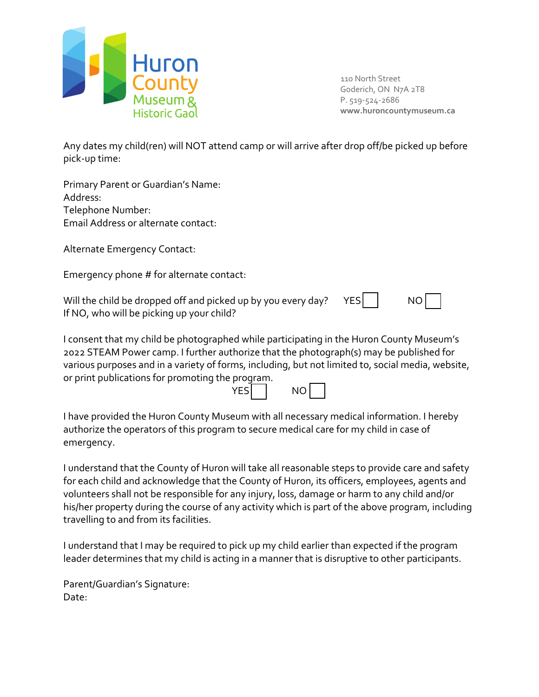

110 North Street Goderich, ON N7A 2T8 P. 519-524-2686 **www.huroncountymuseum.ca**

Any dates my child(ren) will NOT attend camp or will arrive after drop off/be picked up before pick-up time:

Primary Parent or Guardian's Name: Address: Telephone Number: Email Address or alternate contact:

Alternate Emergency Contact:

Emergency phone # for alternate contact:

Will the child be dropped off and picked up by you every day?  $YES$   $\Box$  NO If NO, who will be picking up your child?

I consent that my child be photographed while participating in the Huron County Museum's 2022 STEAM Power camp. I further authorize that the photograph(s) may be published for various purposes and in a variety of forms, including, but not limited to, social media, website, or print publications for promoting the program.

| VECI<br>- ר | NΟ |  |
|-------------|----|--|
|             |    |  |

I have provided the Huron County Museum with all necessary medical information. I hereby authorize the operators of this program to secure medical care for my child in case of emergency.

I understand that the County of Huron will take all reasonable steps to provide care and safety for each child and acknowledge that the County of Huron, its officers, employees, agents and volunteers shall not be responsible for any injury, loss, damage or harm to any child and/or his/her property during the course of any activity which is part of the above program, including travelling to and from its facilities.

I understand that I may be required to pick up my child earlier than expected if the program leader determines that my child is acting in a manner that is disruptive to other participants.

Parent/Guardian's Signature: Date: